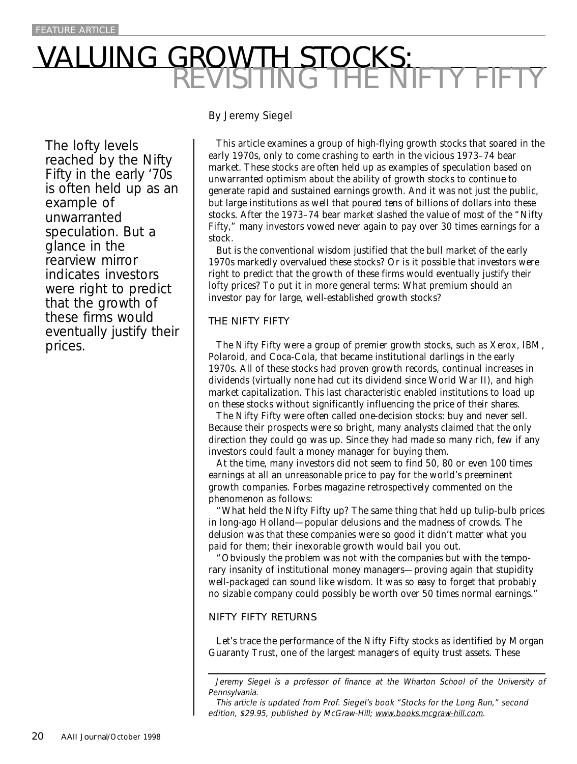# VALUING GROWTH STOCKS:

The lofty levels reached by the Nifty Fifty in the early '70s is often held up as an example of unwarranted speculation. But a glance in the rearview mirror indicates investors were right to predict that the growth of these firms would eventually justify their prices.

# By Jeremy Siegel

This article examines a group of high-flying growth stocks that soared in the early 1970s, only to come crashing to earth in the vicious 1973–74 bear market. These stocks are often held up as examples of speculation based on unwarranted optimism about the ability of growth stocks to continue to generate rapid and sustained earnings growth. And it was not just the public, but large institutions as well that poured tens of billions of dollars into these stocks. After the 1973–74 bear market slashed the value of most of the "Nifty Fifty," many investors vowed never again to pay over 30 times earnings for a stock.

But is the conventional wisdom justified that the bull market of the early 1970s markedly overvalued these stocks? Or is it possible that investors were right to predict that the growth of these firms would eventually justify their lofty prices? To put it in more general terms: What premium should an investor pay for large, well-established growth stocks?

# THE NIFTY FIFTY

The Nifty Fifty were a group of premier growth stocks, such as Xerox, IBM, Polaroid, and Coca-Cola, that became institutional darlings in the early 1970s. All of these stocks had proven growth records, continual increases in dividends (virtually none had cut its dividend since World War II), and high market capitalization. This last characteristic enabled institutions to load up on these stocks without significantly influencing the price of their shares.

The Nifty Fifty were often called one-decision stocks: buy and never sell. Because their prospects were so bright, many analysts claimed that the only direction they could go was up. Since they had made so many rich, few if any investors could fault a money manager for buying them.

At the time, many investors did not seem to find 50, 80 or even 100 times earnings at all an unreasonable price to pay for the world's preeminent growth companies. Forbes magazine retrospectively commented on the phenomenon as follows:

"What held the Nifty Fifty up? The same thing that held up tulip-bulb prices in long-ago Holland—popular delusions and the madness of crowds. The delusion was that these companies were so good it didn't matter what you paid for them; their inexorable growth would bail you out.

"Obviously the problem was not with the companies but with the temporary insanity of institutional money managers—proving again that stupidity well-packaged can sound like wisdom. It was so easy to forget that probably no sizable company could possibly be worth over 50 times normal earnings."

# NIFTY FIFTY RETURNS

Let's trace the performance of the Nifty Fifty stocks as identified by Morgan Guaranty Trust, one of the largest managers of equity trust assets. These

Jeremy Siegel is a professor of finance at the Wharton School of the University of Pennsylvania.

This article is updated from Prof. Siegel's book "Stocks for the Long Run," second edition, \$29.95, published by McGraw-Hill; www.books.mcgraw-hill.com.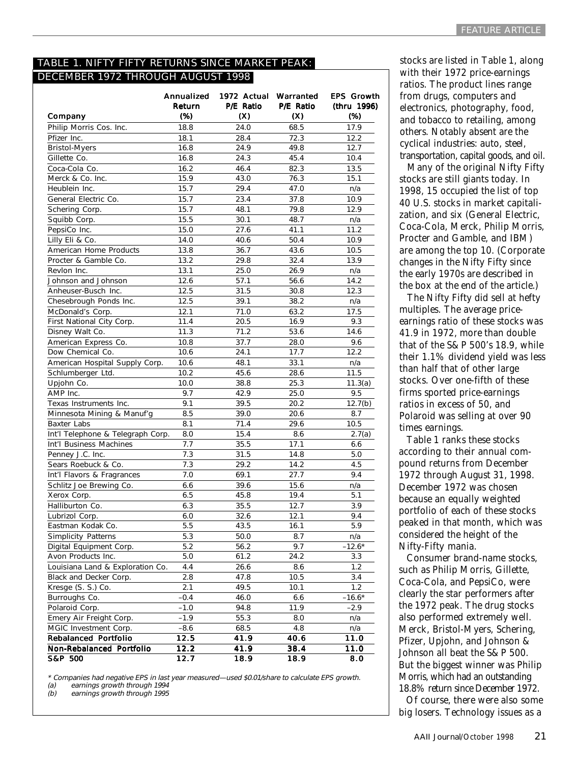### TABLE 1. NIFTY FIFTY RETURNS SINCE MARKET PEAK: DECEMBER 1972 THROUGH AUGUST 1998

|                                   | Annualized<br>Return | 1972 Actual Warranted<br>P/E Ratio | P/E Ratio | <b>EPS Growth</b><br>(thru 1996) |
|-----------------------------------|----------------------|------------------------------------|-----------|----------------------------------|
| Company                           | (% )                 | (X)                                | (X)       | (%)                              |
| Philip Morris Cos. Inc.           | 18.8                 | 24.0                               | 68.5      | 17.9                             |
| Pfizer Inc.                       | 18.1                 | 28.4                               | 72.3      | 12.2                             |
| <b>Bristol-Myers</b>              | 16.8                 | 24.9                               | 49.8      | 12.7                             |
| Gillette Co.                      | 16.8                 | 24.3                               | 45.4      | 10.4                             |
| Coca-Cola Co.                     | 16.2                 | 46.4                               | 82.3      | 13.5                             |
| Merck & Co. Inc.                  | 15.9                 | 43.0                               | 76.3      | 15.1                             |
| Heublein Inc.                     | 15.7                 | 29.4                               | 47.0      | n/a                              |
| General Electric Co.              | 15.7                 | 23.4                               | 37.8      | 10.9                             |
| Schering Corp.                    | 15.7                 | 48.1                               | 79.8      | 12.9                             |
| Squibb Corp.                      | 15.5                 | 30.1                               | 48.7      | n/a                              |
| PepsiCo Inc.                      | 15.0                 | 27.6                               | 41.1      | 11.2                             |
| Lilly Eli & Co.                   | 14.0                 | 40.6                               | 50.4      | 10.9                             |
| American Home Products            | 13.8                 | 36.7                               | 43.6      | 10.5                             |
| Procter & Gamble Co.              | 13.2                 | 29.8                               | 32.4      | 13.9                             |
| Revion Inc.                       | 13.1                 | 25.0                               | 26.9      | n/a                              |
| Johnson and Johnson               | 12.6                 | 57.1                               | 56.6      | 14.2                             |
| Anheuser-Busch Inc.               | 12.5                 | 31.5                               | 30.8      | 12.3                             |
| Chesebrough Ponds Inc.            | 12.5                 | 39.1                               | 38.2      | n/a                              |
| McDonald's Corp.                  | 12.1                 | 71.0                               | 63.2      | 17.5                             |
| First National City Corp.         | 11.4                 | 20.5                               | 16.9      | 9.3                              |
| Disney Walt Co.                   | 11.3                 | 71.2                               | 53.6      | 14.6                             |
| American Express Co.              | 10.8                 | 37.7                               | 28.0      | 9.6                              |
| Dow Chemical Co.                  | 10.6                 | 24.1                               | 17.7      | 12.2                             |
| American Hospital Supply Corp.    | 10.6                 | 48.1                               | 33.1      | n/a                              |
| Schlumberger Ltd.                 | 10.2                 | 45.6                               | 28.6      | 11.5                             |
| Upjohn Co.                        | 10.0                 | 38.8                               | 25.3      | 11.3(a)                          |
| AMP Inc.                          | 9.7                  | 42.9                               | 25.0      | 9.5                              |
| Texas Instruments Inc.            | 9.1                  | 39.5                               | 20.2      | 12.7(b)                          |
| Minnesota Mining & Manuf'g        | 8.5                  | 39.0                               | 20.6      | 8.7                              |
| <b>Baxter Labs</b>                | 8.1                  | 71.4                               | 29.6      | 10.5                             |
| Int'l Telephone & Telegraph Corp. | 8.0                  | 15.4                               | 8.6       | 2.7(a)                           |
| Int'l Business Machines           | 7.7                  | 35.5                               | 17.1      | 6.6                              |
| Penney J.C. Inc.                  | 7.3                  | 31.5                               | 14.8      | 5.0                              |
| Sears Roebuck & Co.               | 7.3                  | 29.2                               | 14.2      | 4.5                              |
| Int'l Flavors & Fragrances        | 7.0                  | 69.1                               | 27.7      | 9.4                              |
| Schlitz Joe Brewing Co.           | 6.6                  | 39.6                               | 15.6      | n/a                              |
| Xerox Corp.                       | 6.5                  | 45.8                               | 19.4      | 5.1                              |
| Halliburton Co.                   | 6.3                  | 35.5                               | 12.7      | 3.9                              |
| Lubrizol Corp.                    | 6.0                  | 32.6                               | 12.1      | 9.4                              |
| Eastman Kodak Co.                 | 5.5                  | 43.5                               | 16.1      | 5.9                              |
| Simplicity Patterns               | 5.3                  | 50.0                               | 8.7       | n/a                              |
| Digital Equipment Corp.           | 5.2                  | 56.2                               | 9.7       | $-12.6*$                         |
| Avon Products Inc.                | 5.0                  | 61.2                               | 24.2      | 3.3                              |
| Louisiana Land & Exploration Co.  | 4.4                  | 26.6                               | 8.6       | 1.2                              |
| Black and Decker Corp.            | 2.8                  | 47.8                               | 10.5      | 3.4                              |
| Kresge (S. S.) Co.                | 2.1                  | 49.5                               | 10.1      | 1.2                              |
| Burroughs Co.                     | $-0.4$               | 46.0                               | 6.6       | $-16.6*$                         |
| Polaroid Corp.                    | $-1.0$               | 94.8                               | 11.9      | $-2.9$                           |
| Emery Air Freight Corp.           | $-1.9$               | 55.3                               | 8.0       | n/a                              |
| MGIC Investment Corp.             | $-8.6$               | 68.5                               | 4.8       | n/a                              |
| <b>Rebalanced Portfolio</b>       | 12.5                 | 41.9                               | 40.6      | 11.0                             |
| Non-Rebalanced Portfolio          | 12.2                 | 41.9                               | 38.4      | 11.0                             |
| <b>S&amp;P 500</b>                | 12.7                 | 18.9                               | 18.9      | 8.0                              |

\* Companies had negative EPS in last year measured—used \$0.01/share to calculate EPS growth.

earnings growth through 1994

(b) earnings growth through 1995

stocks are listed in Table 1, along with their 1972 price-earnings ratios. The product lines range from drugs, computers and electronics, photography, food, and tobacco to retailing, among others. Notably absent are the cyclical industries: auto, steel, transportation, capital goods, and oil.

Many of the original Nifty Fifty stocks are still giants today. In 1998, 15 occupied the list of top 40 U.S. stocks in market capitalization, and six (General Electric, Coca-Cola, Merck, Philip Morris, Procter and Gamble, and IBM) are among the top 10. (Corporate changes in the Nifty Fifty since the early 1970s are described in the box at the end of the article.)

The Nifty Fifty did sell at hefty multiples. The average priceearnings ratio of these stocks was 41.9 in 1972, more than double that of the S&P 500's 18.9, while their 1.1% dividend yield was less than half that of other large stocks. Over one-fifth of these firms sported price-earnings ratios in excess of 50, and Polaroid was selling at over 90 times earnings.

Table 1 ranks these stocks according to their annual compound returns from December 1972 through August 31, 1998. December 1972 was chosen because an equally weighted portfolio of each of these stocks peaked in that month, which was considered the height of the Nifty-Fifty mania.

Consumer brand-name stocks, such as Philip Morris, Gillette, Coca-Cola, and PepsiCo, were clearly the star performers after the 1972 peak. The drug stocks also performed extremely well. Merck, Bristol-Myers, Schering, Pfizer, Upjohn, and Johnson & Johnson all beat the S&P 500. But the biggest winner was Philip Morris, which had an outstanding 18.8% return since December 1972.

Of course, there were also some big losers. Technology issues as a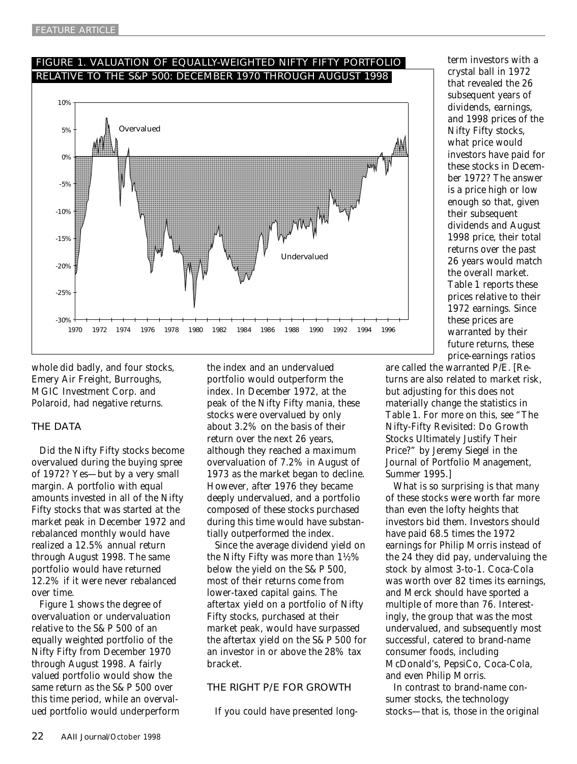

FIGURE 1. VALUATION OF EQUALLY-WEIGHTED NIFTY FIFTY PORTFOLIO

whole did badly, and four stocks, Emery Air Freight, Burroughs, MGIC Investment Corp. and Polaroid, had negative returns.

#### THE DATA

Did the Nifty Fifty stocks become overvalued during the buying spree of 1972? Yes—but by a very small margin. A portfolio with equal amounts invested in all of the Nifty Fifty stocks that was started at the market peak in December 1972 and rebalanced monthly would have realized a 12.5% annual return through August 1998. The same portfolio would have returned 12.2% if it were never rebalanced over time.

Figure 1 shows the degree of overvaluation or undervaluation relative to the S&P 500 of an equally weighted portfolio of the Nifty Fifty from December 1970 through August 1998. A fairly valued portfolio would show the same return as the S&P 500 over this time period, while an overvalued portfolio would underperform

the index and an undervalued portfolio would outperform the index. In December 1972, at the peak of the Nifty Fifty mania, these stocks were overvalued by only about 3.2% on the basis of their return over the next 26 years, although they reached a maximum overvaluation of 7.2% in August of 1973 as the market began to decline. However, after 1976 they became deeply undervalued, and a portfolio composed of these stocks purchased during this time would have substantially outperformed the index.

Since the average dividend yield on the Nifty Fifty was more than 1½% below the yield on the S&P 500, most of their returns come from lower-taxed capital gains. The aftertax yield on a portfolio of Nifty Fifty stocks, purchased at their market peak, would have surpassed the aftertax yield on the S&P 500 for an investor in or above the 28% tax bracket.

#### THE RIGHT P/E FOR GROWTH

If you could have presented long-

term investors with a crystal ball in 1972 that revealed the 26 subsequent years of dividends, earnings, and 1998 prices of the Nifty Fifty stocks, what price would investors have paid for these stocks in December 1972? The answer is a price high or low enough so that, given their subsequent dividends and August 1998 price, their total returns over the past 26 years would match the overall market. Table 1 reports these prices relative to their 1972 earnings. Since these prices are warranted by their future returns, these price-earnings ratios

are called the *warranted P/E.* [Returns are also related to market risk, but adjusting for this does not materially change the statistics in Table 1. For more on this, see "The Nifty-Fifty Revisited: Do Growth Stocks Ultimately Justify Their Price?" by Jeremy Siegel in the Journal of Portfolio Management, Summer 1995.]

What is so surprising is that many of these stocks were worth far more than even the lofty heights that investors bid them. Investors should have paid 68.5 times the 1972 earnings for Philip Morris instead of the 24 they did pay, undervaluing the stock by almost 3-to-1. Coca-Cola was worth over 82 times its earnings, and Merck should have sported a multiple of more than 76. Interestingly, the group that was the most undervalued, and subsequently most successful, catered to brand-name consumer foods, including McDonald's, PepsiCo, Coca-Cola, and even Philip Morris.

In contrast to brand-name consumer stocks, the technology stocks—that is, those in the original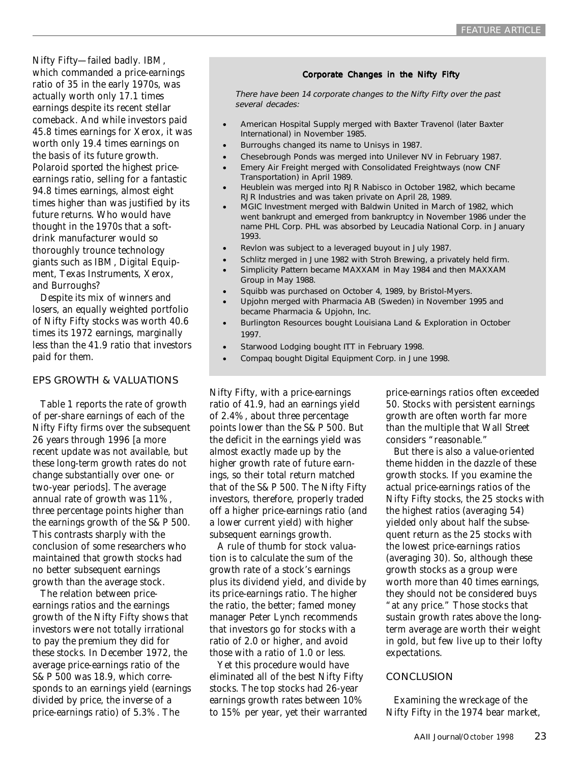Nifty Fifty—failed badly. IBM, which commanded a price-earnings ratio of 35 in the early 1970s, was actually worth only 17.1 times earnings despite its recent stellar comeback. And while investors paid 45.8 times earnings for Xerox, it was worth only 19.4 times earnings on the basis of its future growth. Polaroid sported the highest priceearnings ratio, selling for a fantastic 94.8 times earnings, almost eight times higher than was justified by its future returns. Who would have thought in the 1970s that a softdrink manufacturer would so thoroughly trounce technology giants such as IBM, Digital Equipment, Texas Instruments, Xerox, and Burroughs?

Despite its mix of winners and losers, an equally weighted portfolio of Nifty Fifty stocks was worth 40.6 times its 1972 earnings, marginally less than the 41.9 ratio that investors paid for them.

#### EPS GROWTH & VALUATIONS

Table 1 reports the rate of growth of per-share earnings of each of the Nifty Fifty firms over the subsequent 26 years through 1996 [a more recent update was not available, but these long-term growth rates do not change substantially over one- or two-year periods]. The average annual rate of growth was 11%, three percentage points higher than the earnings growth of the S&P 500. This contrasts sharply with the conclusion of some researchers who maintained that growth stocks had no better subsequent earnings growth than the average stock.

The relation between priceearnings ratios and the earnings growth of the Nifty Fifty shows that investors were not totally irrational to pay the premium they did for these stocks. In December 1972, the average price-earnings ratio of the S&P 500 was 18.9, which corresponds to an earnings yield (earnings divided by price, the inverse of a price-earnings ratio) of 5.3%. The

#### Corporate Changes in the Nifty Fifty

There have been 14 corporate changes to the Nifty Fifty over the past several decades:

- American Hospital Supply merged with Baxter Travenol (later Baxter International) in November 1985.
- Burroughs changed its name to Unisys in 1987.
- Chesebrough Ponds was merged into Unilever NV in February 1987.
- Emery Air Freight merged with Consolidated Freightways (now CNF Transportation) in April 1989.
- Heublein was merged into RJR Nabisco in October 1982, which became RJR Industries and was taken private on April 28, 1989.
- MGIC Investment merged with Baldwin United in March of 1982, which went bankrupt and emerged from bankruptcy in November 1986 under the name PHL Corp. PHL was absorbed by Leucadia National Corp. in January 1993.
- Revlon was subject to a leveraged buyout in July 1987.
- Schlitz merged in June 1982 with Stroh Brewing, a privately held firm.
- Simplicity Pattern became MAXXAM in May 1984 and then MAXXAM Group in May 1988.
- Squibb was purchased on October 4, 1989, by Bristol-Myers.
- Upjohn merged with Pharmacia AB (Sweden) in November 1995 and became Pharmacia & Upjohn, Inc.
- Burlington Resources bought Louisiana Land & Exploration in October 1997.
- Starwood Lodging bought ITT in February 1998.
- Compaq bought Digital Equipment Corp. in June 1998.

Nifty Fifty, with a price-earnings ratio of 41.9, had an earnings yield of 2.4%, about three percentage points lower than the S&P 500. But the deficit in the earnings yield was almost exactly made up by the higher growth rate of future earnings, so their total return matched that of the S&P 500. The Nifty Fifty investors, therefore, properly traded off a higher price-earnings ratio (and a lower current yield) with higher subsequent earnings growth.

A rule of thumb for stock valuation is to calculate the sum of the growth rate of a stock's earnings plus its dividend yield, and divide by its price-earnings ratio. The higher the ratio, the better; famed money manager Peter Lynch recommends that investors go for stocks with a ratio of 2.0 or higher, and avoid those with a ratio of 1.0 or less.

Yet this procedure would have eliminated all of the best Nifty Fifty stocks. The top stocks had 26-year earnings growth rates between 10% to 15% per year, yet their warranted price-earnings ratios often exceeded 50. Stocks with persistent earnings growth are often worth far more than the multiple that Wall Street considers "reasonable."

But there is also a value-oriented theme hidden in the dazzle of these growth stocks. If you examine the actual price-earnings ratios of the Nifty Fifty stocks, the 25 stocks with the highest ratios (averaging 54) yielded only about half the subsequent return as the 25 stocks with the lowest price-earnings ratios (averaging 30). So, although these growth stocks as a group were worth more than 40 times earnings, they should not be considered buys "at any price." Those stocks that sustain growth rates above the longterm average are worth their weight in gold, but few live up to their lofty expectations.

#### **CONCLUSION**

Examining the wreckage of the Nifty Fifty in the 1974 bear market,